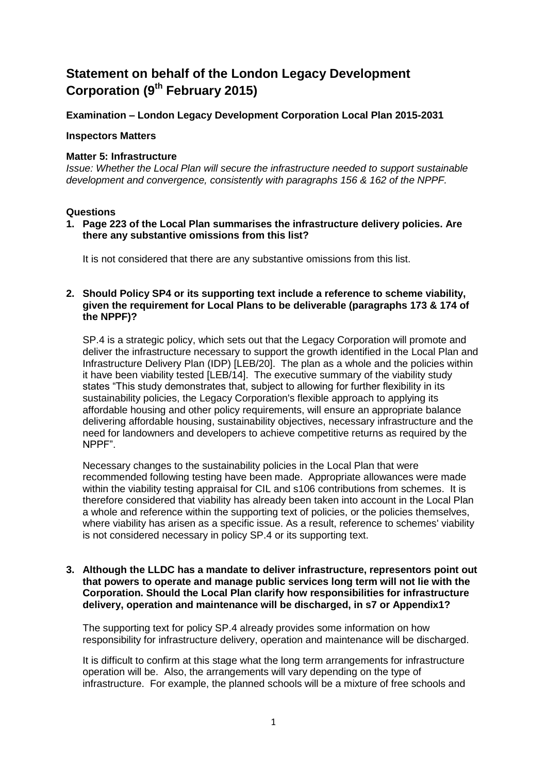# **Statement on behalf of the London Legacy Development Corporation (9th February 2015)**

**Examination – London Legacy Development Corporation Local Plan 2015-2031**

#### **Inspectors Matters**

#### **Matter 5: Infrastructure**

*Issue: Whether the Local Plan will secure the infrastructure needed to support sustainable development and convergence, consistently with paragraphs 156 & 162 of the NPPF.*

#### **Questions**

**1. Page 223 of the Local Plan summarises the infrastructure delivery policies. Are there any substantive omissions from this list?**

It is not considered that there are any substantive omissions from this list.

#### **2. Should Policy SP4 or its supporting text include a reference to scheme viability, given the requirement for Local Plans to be deliverable (paragraphs 173 & 174 of the NPPF)?**

SP.4 is a strategic policy, which sets out that the Legacy Corporation will promote and deliver the infrastructure necessary to support the growth identified in the Local Plan and Infrastructure Delivery Plan (IDP) [LEB/20]. The plan as a whole and the policies within it have been viability tested [LEB/14]. The executive summary of the viability study states "This study demonstrates that, subject to allowing for further flexibility in its sustainability policies, the Legacy Corporation's flexible approach to applying its affordable housing and other policy requirements, will ensure an appropriate balance delivering affordable housing, sustainability objectives, necessary infrastructure and the need for landowners and developers to achieve competitive returns as required by the NPPF".

Necessary changes to the sustainability policies in the Local Plan that were recommended following testing have been made. Appropriate allowances were made within the viability testing appraisal for CIL and s106 contributions from schemes. It is therefore considered that viability has already been taken into account in the Local Plan a whole and reference within the supporting text of policies, or the policies themselves, where viability has arisen as a specific issue. As a result, reference to schemes' viability is not considered necessary in policy SP.4 or its supporting text.

#### **3. Although the LLDC has a mandate to deliver infrastructure, representors point out that powers to operate and manage public services long term will not lie with the Corporation. Should the Local Plan clarify how responsibilities for infrastructure delivery, operation and maintenance will be discharged, in s7 or Appendix1?**

The supporting text for policy SP.4 already provides some information on how responsibility for infrastructure delivery, operation and maintenance will be discharged.

It is difficult to confirm at this stage what the long term arrangements for infrastructure operation will be. Also, the arrangements will vary depending on the type of infrastructure. For example, the planned schools will be a mixture of free schools and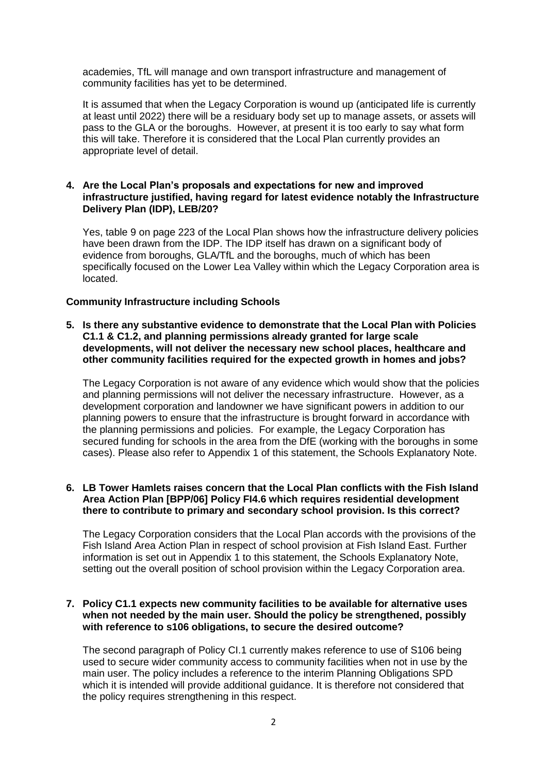academies, TfL will manage and own transport infrastructure and management of community facilities has yet to be determined.

It is assumed that when the Legacy Corporation is wound up (anticipated life is currently at least until 2022) there will be a residuary body set up to manage assets, or assets will pass to the GLA or the boroughs. However, at present it is too early to say what form this will take. Therefore it is considered that the Local Plan currently provides an appropriate level of detail.

#### **4. Are the Local Plan's proposals and expectations for new and improved infrastructure justified, having regard for latest evidence notably the Infrastructure Delivery Plan (IDP), LEB/20?**

Yes, table 9 on page 223 of the Local Plan shows how the infrastructure delivery policies have been drawn from the IDP. The IDP itself has drawn on a significant body of evidence from boroughs, GLA/TfL and the boroughs, much of which has been specifically focused on the Lower Lea Valley within which the Legacy Corporation area is located.

#### **Community Infrastructure including Schools**

#### **5. Is there any substantive evidence to demonstrate that the Local Plan with Policies C1.1 & C1.2, and planning permissions already granted for large scale developments, will not deliver the necessary new school places, healthcare and other community facilities required for the expected growth in homes and jobs?**

The Legacy Corporation is not aware of any evidence which would show that the policies and planning permissions will not deliver the necessary infrastructure. However, as a development corporation and landowner we have significant powers in addition to our planning powers to ensure that the infrastructure is brought forward in accordance with the planning permissions and policies. For example, the Legacy Corporation has secured funding for schools in the area from the DfE (working with the boroughs in some cases). Please also refer to Appendix 1 of this statement, the Schools Explanatory Note.

#### **6. LB Tower Hamlets raises concern that the Local Plan conflicts with the Fish Island Area Action Plan [BPP/06] Policy FI4.6 which requires residential development there to contribute to primary and secondary school provision. Is this correct?**

The Legacy Corporation considers that the Local Plan accords with the provisions of the Fish Island Area Action Plan in respect of school provision at Fish Island East. Further information is set out in Appendix 1 to this statement, the Schools Explanatory Note, setting out the overall position of school provision within the Legacy Corporation area.

#### **7. Policy C1.1 expects new community facilities to be available for alternative uses when not needed by the main user. Should the policy be strengthened, possibly with reference to s106 obligations, to secure the desired outcome?**

The second paragraph of Policy CI.1 currently makes reference to use of S106 being used to secure wider community access to community facilities when not in use by the main user. The policy includes a reference to the interim Planning Obligations SPD which it is intended will provide additional guidance. It is therefore not considered that the policy requires strengthening in this respect.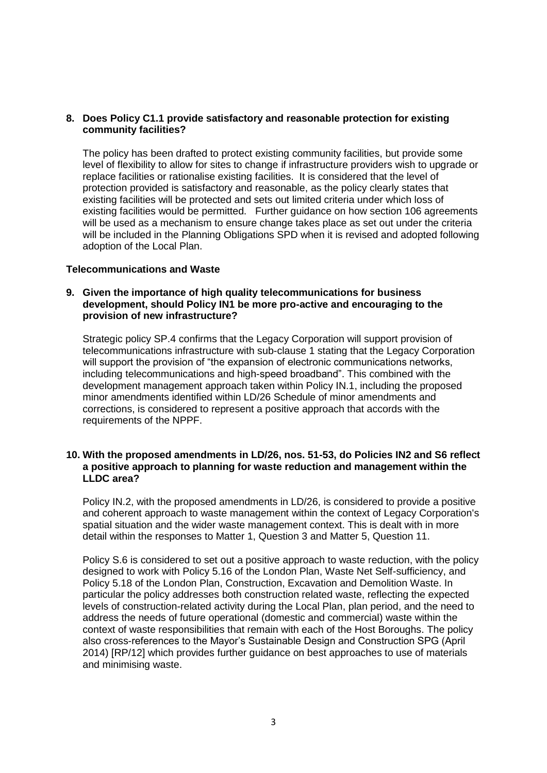#### **8. Does Policy C1.1 provide satisfactory and reasonable protection for existing community facilities?**

The policy has been drafted to protect existing community facilities, but provide some level of flexibility to allow for sites to change if infrastructure providers wish to upgrade or replace facilities or rationalise existing facilities. It is considered that the level of protection provided is satisfactory and reasonable, as the policy clearly states that existing facilities will be protected and sets out limited criteria under which loss of existing facilities would be permitted. Further guidance on how section 106 agreements will be used as a mechanism to ensure change takes place as set out under the criteria will be included in the Planning Obligations SPD when it is revised and adopted following adoption of the Local Plan.

#### **Telecommunications and Waste**

#### **9. Given the importance of high quality telecommunications for business development, should Policy IN1 be more pro-active and encouraging to the provision of new infrastructure?**

Strategic policy SP.4 confirms that the Legacy Corporation will support provision of telecommunications infrastructure with sub-clause 1 stating that the Legacy Corporation will support the provision of "the expansion of electronic communications networks, including telecommunications and high-speed broadband". This combined with the development management approach taken within Policy IN.1, including the proposed minor amendments identified within LD/26 Schedule of minor amendments and corrections, is considered to represent a positive approach that accords with the requirements of the NPPF.

#### **10. With the proposed amendments in LD/26, nos. 51-53, do Policies IN2 and S6 reflect a positive approach to planning for waste reduction and management within the LLDC area?**

Policy IN.2, with the proposed amendments in LD/26, is considered to provide a positive and coherent approach to waste management within the context of Legacy Corporation's spatial situation and the wider waste management context. This is dealt with in more detail within the responses to Matter 1, Question 3 and Matter 5, Question 11.

Policy S.6 is considered to set out a positive approach to waste reduction, with the policy designed to work with Policy 5.16 of the London Plan, Waste Net Self-sufficiency, and Policy 5.18 of the London Plan, Construction, Excavation and Demolition Waste. In particular the policy addresses both construction related waste, reflecting the expected levels of construction-related activity during the Local Plan, plan period, and the need to address the needs of future operational (domestic and commercial) waste within the context of waste responsibilities that remain with each of the Host Boroughs. The policy also cross-references to the Mayor's Sustainable Design and Construction SPG (April 2014) [RP/12] which provides further guidance on best approaches to use of materials and minimising waste.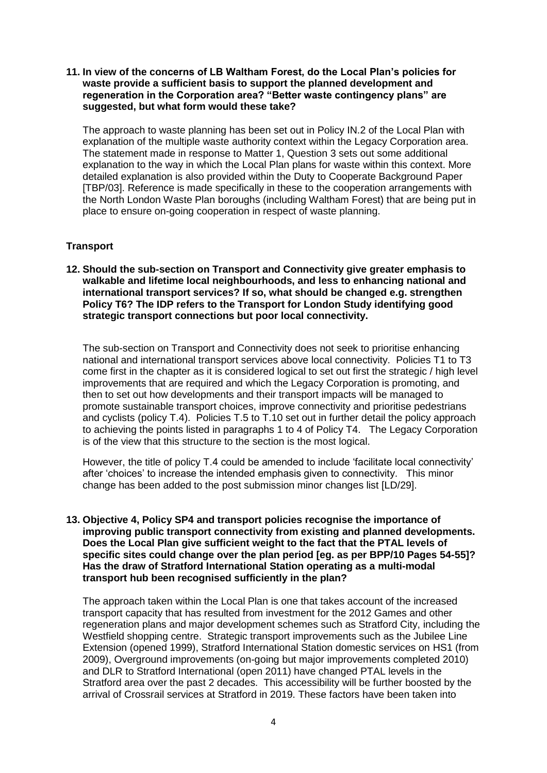**11. In view of the concerns of LB Waltham Forest, do the Local Plan's policies for waste provide a sufficient basis to support the planned development and regeneration in the Corporation area? "Better waste contingency plans" are suggested, but what form would these take?**

The approach to waste planning has been set out in Policy IN.2 of the Local Plan with explanation of the multiple waste authority context within the Legacy Corporation area. The statement made in response to Matter 1, Question 3 sets out some additional explanation to the way in which the Local Plan plans for waste within this context. More detailed explanation is also provided within the Duty to Cooperate Background Paper [TBP/03]. Reference is made specifically in these to the cooperation arrangements with the North London Waste Plan boroughs (including Waltham Forest) that are being put in place to ensure on-going cooperation in respect of waste planning.

#### **Transport**

**12. Should the sub-section on Transport and Connectivity give greater emphasis to walkable and lifetime local neighbourhoods, and less to enhancing national and international transport services? If so, what should be changed e.g. strengthen Policy T6? The IDP refers to the Transport for London Study identifying good strategic transport connections but poor local connectivity.**

The sub-section on Transport and Connectivity does not seek to prioritise enhancing national and international transport services above local connectivity. Policies T1 to T3 come first in the chapter as it is considered logical to set out first the strategic / high level improvements that are required and which the Legacy Corporation is promoting, and then to set out how developments and their transport impacts will be managed to promote sustainable transport choices, improve connectivity and prioritise pedestrians and cyclists (policy T.4). Policies T.5 to T.10 set out in further detail the policy approach to achieving the points listed in paragraphs 1 to 4 of Policy T4. The Legacy Corporation is of the view that this structure to the section is the most logical.

However, the title of policy T.4 could be amended to include 'facilitate local connectivity' after 'choices' to increase the intended emphasis given to connectivity. This minor change has been added to the post submission minor changes list [LD/29].

#### **13. Objective 4, Policy SP4 and transport policies recognise the importance of improving public transport connectivity from existing and planned developments. Does the Local Plan give sufficient weight to the fact that the PTAL levels of specific sites could change over the plan period [eg. as per BPP/10 Pages 54-55]? Has the draw of Stratford International Station operating as a multi-modal transport hub been recognised sufficiently in the plan?**

The approach taken within the Local Plan is one that takes account of the increased transport capacity that has resulted from investment for the 2012 Games and other regeneration plans and major development schemes such as Stratford City, including the Westfield shopping centre. Strategic transport improvements such as the Jubilee Line Extension (opened 1999), Stratford International Station domestic services on HS1 (from 2009), Overground improvements (on-going but major improvements completed 2010) and DLR to Stratford International (open 2011) have changed PTAL levels in the Stratford area over the past 2 decades. This accessibility will be further boosted by the arrival of Crossrail services at Stratford in 2019. These factors have been taken into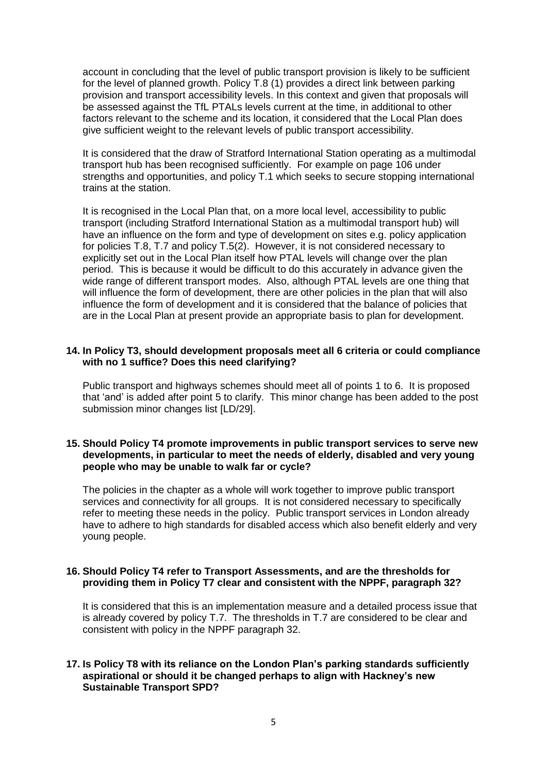account in concluding that the level of public transport provision is likely to be sufficient for the level of planned growth. Policy T.8 (1) provides a direct link between parking provision and transport accessibility levels. In this context and given that proposals will be assessed against the TfL PTALs levels current at the time, in additional to other factors relevant to the scheme and its location, it considered that the Local Plan does give sufficient weight to the relevant levels of public transport accessibility.

It is considered that the draw of Stratford International Station operating as a multimodal transport hub has been recognised sufficiently. For example on page 106 under strengths and opportunities, and policy T.1 which seeks to secure stopping international trains at the station.

It is recognised in the Local Plan that, on a more local level, accessibility to public transport (including Stratford International Station as a multimodal transport hub) will have an influence on the form and type of development on sites e.g. policy application for policies T.8, T.7 and policy T.5(2). However, it is not considered necessary to explicitly set out in the Local Plan itself how PTAL levels will change over the plan period. This is because it would be difficult to do this accurately in advance given the wide range of different transport modes. Also, although PTAL levels are one thing that will influence the form of development, there are other policies in the plan that will also influence the form of development and it is considered that the balance of policies that are in the Local Plan at present provide an appropriate basis to plan for development.

#### **14. In Policy T3, should development proposals meet all 6 criteria or could compliance with no 1 suffice? Does this need clarifying?**

Public transport and highways schemes should meet all of points 1 to 6. It is proposed that 'and' is added after point 5 to clarify. This minor change has been added to the post submission minor changes list [LD/29].

#### **15. Should Policy T4 promote improvements in public transport services to serve new developments, in particular to meet the needs of elderly, disabled and very young people who may be unable to walk far or cycle?**

The policies in the chapter as a whole will work together to improve public transport services and connectivity for all groups. It is not considered necessary to specifically refer to meeting these needs in the policy. Public transport services in London already have to adhere to high standards for disabled access which also benefit elderly and very young people.

#### **16. Should Policy T4 refer to Transport Assessments, and are the thresholds for providing them in Policy T7 clear and consistent with the NPPF, paragraph 32?**

It is considered that this is an implementation measure and a detailed process issue that is already covered by policy T.7. The thresholds in T.7 are considered to be clear and consistent with policy in the NPPF paragraph 32.

### **17. Is Policy T8 with its reliance on the London Plan's parking standards sufficiently aspirational or should it be changed perhaps to align with Hackney's new Sustainable Transport SPD?**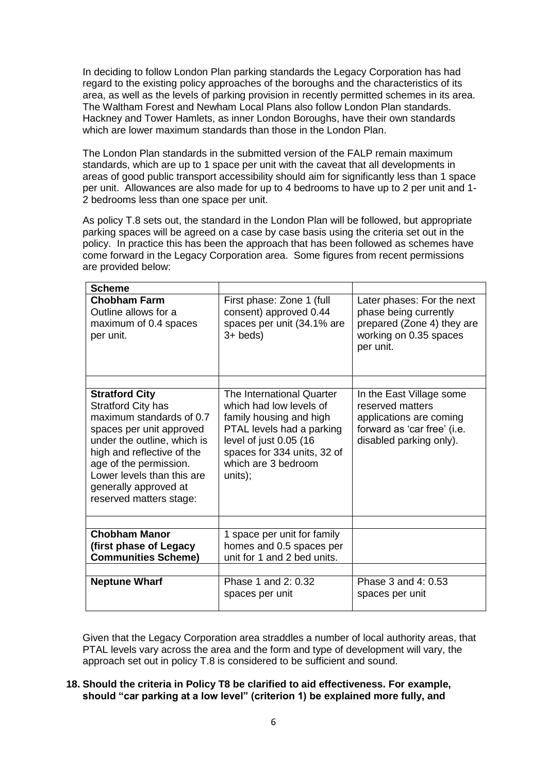In deciding to follow London Plan parking standards the Legacy Corporation has had regard to the existing policy approaches of the boroughs and the characteristics of its area, as well as the levels of parking provision in recently permitted schemes in its area. The Waltham Forest and Newham Local Plans also follow London Plan standards. Hackney and Tower Hamlets, as inner London Boroughs, have their own standards which are lower maximum standards than those in the London Plan.

The London Plan standards in the submitted version of the FALP remain maximum standards, which are up to 1 space per unit with the caveat that all developments in areas of good public transport accessibility should aim for significantly less than 1 space per unit. Allowances are also made for up to 4 bedrooms to have up to 2 per unit and 1- 2 bedrooms less than one space per unit.

As policy T.8 sets out, the standard in the London Plan will be followed, but appropriate parking spaces will be agreed on a case by case basis using the criteria set out in the policy. In practice this has been the approach that has been followed as schemes have come forward in the Legacy Corporation area. Some figures from recent permissions are provided below:

| <b>Scheme</b>                                                                                                                                                                                                                                                                       |                                                                                                                                                                                                         |                                                                                                                                   |
|-------------------------------------------------------------------------------------------------------------------------------------------------------------------------------------------------------------------------------------------------------------------------------------|---------------------------------------------------------------------------------------------------------------------------------------------------------------------------------------------------------|-----------------------------------------------------------------------------------------------------------------------------------|
| <b>Chobham Farm</b><br>Outline allows for a<br>maximum of 0.4 spaces<br>per unit.                                                                                                                                                                                                   | First phase: Zone 1 (full<br>consent) approved 0.44<br>spaces per unit (34.1% are<br>$3+$ beds)                                                                                                         | Later phases: For the next<br>phase being currently<br>prepared (Zone 4) they are<br>working on 0.35 spaces<br>per unit.          |
|                                                                                                                                                                                                                                                                                     |                                                                                                                                                                                                         |                                                                                                                                   |
| <b>Stratford City</b><br><b>Stratford City has</b><br>maximum standards of 0.7<br>spaces per unit approved<br>under the outline, which is<br>high and reflective of the<br>age of the permission.<br>Lower levels than this are<br>generally approved at<br>reserved matters stage: | The International Quarter<br>which had low levels of<br>family housing and high<br>PTAL levels had a parking<br>level of just 0.05 (16<br>spaces for 334 units, 32 of<br>which are 3 bedroom<br>units); | In the East Village some<br>reserved matters<br>applications are coming<br>forward as 'car free' (i.e.<br>disabled parking only). |
|                                                                                                                                                                                                                                                                                     |                                                                                                                                                                                                         |                                                                                                                                   |
| <b>Chobham Manor</b><br>(first phase of Legacy)<br><b>Communities Scheme)</b>                                                                                                                                                                                                       | 1 space per unit for family<br>homes and 0.5 spaces per<br>unit for 1 and 2 bed units.                                                                                                                  |                                                                                                                                   |
|                                                                                                                                                                                                                                                                                     |                                                                                                                                                                                                         |                                                                                                                                   |
| <b>Neptune Wharf</b>                                                                                                                                                                                                                                                                | Phase 1 and 2: 0.32<br>spaces per unit                                                                                                                                                                  | Phase 3 and 4: 0.53<br>spaces per unit                                                                                            |

Given that the Legacy Corporation area straddles a number of local authority areas, that PTAL levels vary across the area and the form and type of development will vary, the approach set out in policy T.8 is considered to be sufficient and sound.

### **18. Should the criteria in Policy T8 be clarified to aid effectiveness. For example, should "car parking at a low level" (criterion 1) be explained more fully, and**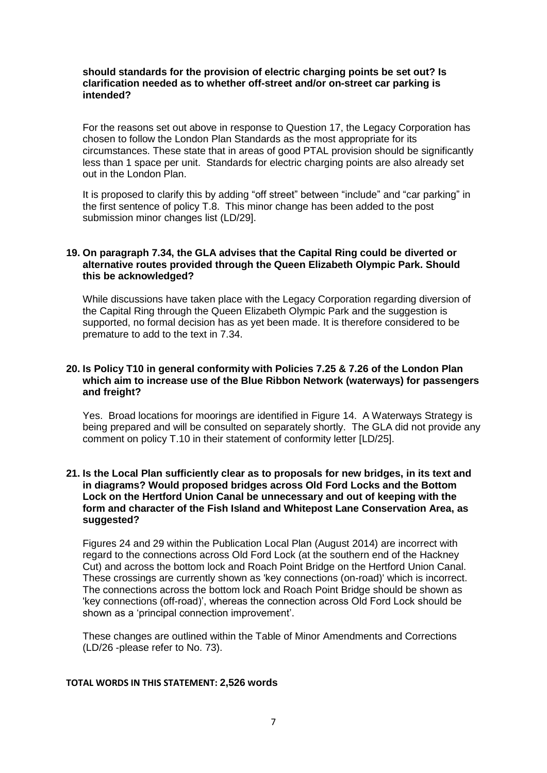#### **should standards for the provision of electric charging points be set out? Is clarification needed as to whether off-street and/or on-street car parking is intended?**

For the reasons set out above in response to Question 17, the Legacy Corporation has chosen to follow the London Plan Standards as the most appropriate for its circumstances. These state that in areas of good PTAL provision should be significantly less than 1 space per unit. Standards for electric charging points are also already set out in the London Plan.

It is proposed to clarify this by adding "off street" between "include" and "car parking" in the first sentence of policy T.8. This minor change has been added to the post submission minor changes list (LD/29].

#### **19. On paragraph 7.34, the GLA advises that the Capital Ring could be diverted or alternative routes provided through the Queen Elizabeth Olympic Park. Should this be acknowledged?**

While discussions have taken place with the Legacy Corporation regarding diversion of the Capital Ring through the Queen Elizabeth Olympic Park and the suggestion is supported, no formal decision has as yet been made. It is therefore considered to be premature to add to the text in 7.34.

#### **20. Is Policy T10 in general conformity with Policies 7.25 & 7.26 of the London Plan which aim to increase use of the Blue Ribbon Network (waterways) for passengers and freight?**

Yes. Broad locations for moorings are identified in Figure 14. A Waterways Strategy is being prepared and will be consulted on separately shortly. The GLA did not provide any comment on policy T.10 in their statement of conformity letter [LD/25].

#### **21. Is the Local Plan sufficiently clear as to proposals for new bridges, in its text and in diagrams? Would proposed bridges across Old Ford Locks and the Bottom Lock on the Hertford Union Canal be unnecessary and out of keeping with the form and character of the Fish Island and Whitepost Lane Conservation Area, as suggested?**

Figures 24 and 29 within the Publication Local Plan (August 2014) are incorrect with regard to the connections across Old Ford Lock (at the southern end of the Hackney Cut) and across the bottom lock and Roach Point Bridge on the Hertford Union Canal. These crossings are currently shown as 'key connections (on-road)' which is incorrect. The connections across the bottom lock and Roach Point Bridge should be shown as 'key connections (off-road)', whereas the connection across Old Ford Lock should be shown as a 'principal connection improvement'.

These changes are outlined within the Table of Minor Amendments and Corrections (LD/26 -please refer to No. 73).

#### **TOTAL WORDS IN THIS STATEMENT: 2,526 words**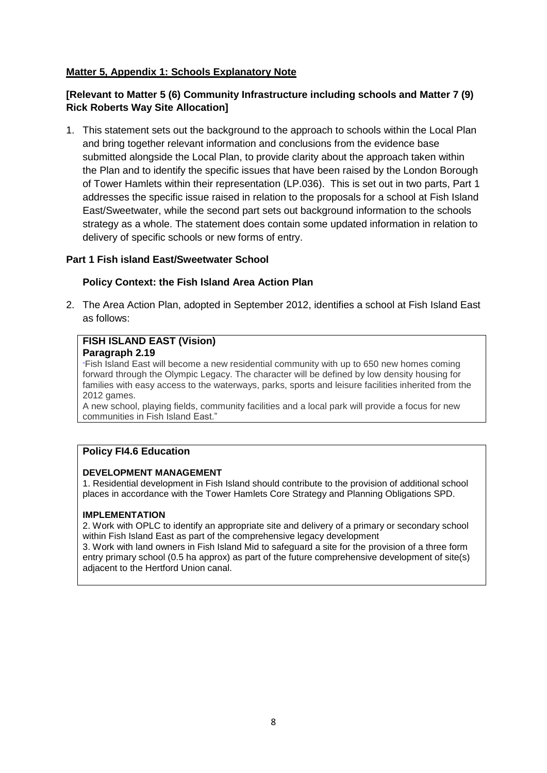### **Matter 5, Appendix 1: Schools Explanatory Note**

### **[Relevant to Matter 5 (6) Community Infrastructure including schools and Matter 7 (9) Rick Roberts Way Site Allocation]**

1. This statement sets out the background to the approach to schools within the Local Plan and bring together relevant information and conclusions from the evidence base submitted alongside the Local Plan, to provide clarity about the approach taken within the Plan and to identify the specific issues that have been raised by the London Borough of Tower Hamlets within their representation (LP.036). This is set out in two parts, Part 1 addresses the specific issue raised in relation to the proposals for a school at Fish Island East/Sweetwater, while the second part sets out background information to the schools strategy as a whole. The statement does contain some updated information in relation to delivery of specific schools or new forms of entry.

### **Part 1 Fish island East/Sweetwater School**

### **Policy Context: the Fish Island Area Action Plan**

2. The Area Action Plan, adopted in September 2012, identifies a school at Fish Island East as follows:

### **FISH ISLAND EAST (Vision)**

#### **Paragraph 2.19**

"Fish Island East will become a new residential community with up to 650 new homes coming forward through the Olympic Legacy. The character will be defined by low density housing for families with easy access to the waterways, parks, sports and leisure facilities inherited from the 2012 games.

A new school, playing fields, community facilities and a local park will provide a focus for new communities in Fish Island East."

### **Policy FI4.6 Education**

#### **DEVELOPMENT MANAGEMENT**

1. Residential development in Fish Island should contribute to the provision of additional school places in accordance with the Tower Hamlets Core Strategy and Planning Obligations SPD.

#### **IMPLEMENTATION**

2. Work with OPLC to identify an appropriate site and delivery of a primary or secondary school within Fish Island East as part of the comprehensive legacy development

3. Work with land owners in Fish Island Mid to safeguard a site for the provision of a three form entry primary school (0.5 ha approx) as part of the future comprehensive development of site(s) adjacent to the Hertford Union canal.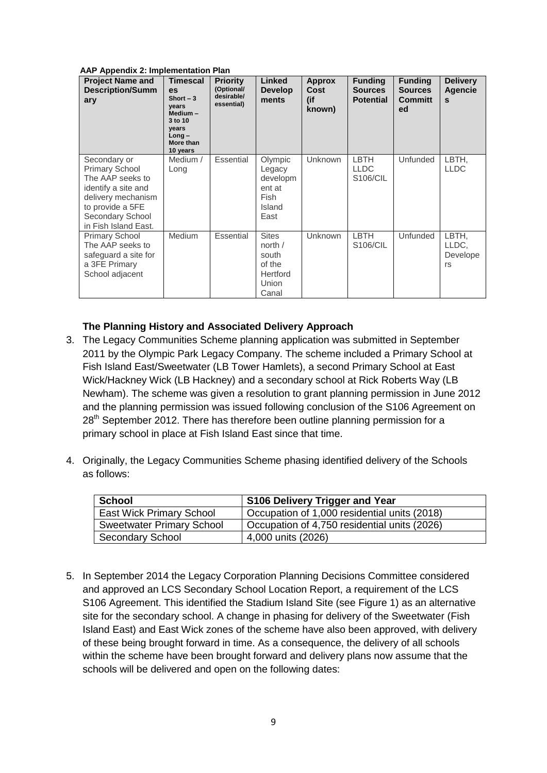#### **AAP Appendix 2: Implementation Plan**

| <b>Project Name and</b><br><b>Description/Summ</b><br>ary                                                                                                              | <b>Timescal</b><br><b>es</b><br>Short $-3$<br>vears<br>Medium-<br>3 to 10<br>vears<br>Long-<br>More than<br>10 years | <b>Priority</b><br>(Optional/<br>desirable/<br>essential) | Linked<br><b>Develop</b><br>ments                                               | <b>Approx</b><br><b>Cost</b><br>(if<br>known) | <b>Funding</b><br><b>Sources</b><br><b>Potential</b> | <b>Funding</b><br><b>Sources</b><br><b>Committ</b><br>ed | <b>Delivery</b><br>Agencie<br>S  |
|------------------------------------------------------------------------------------------------------------------------------------------------------------------------|----------------------------------------------------------------------------------------------------------------------|-----------------------------------------------------------|---------------------------------------------------------------------------------|-----------------------------------------------|------------------------------------------------------|----------------------------------------------------------|----------------------------------|
| Secondary or<br><b>Primary School</b><br>The AAP seeks to<br>identify a site and<br>delivery mechanism<br>to provide a 5FE<br>Secondary School<br>in Fish Island East. | Medium /<br>Long                                                                                                     | <b>Essential</b>                                          | Olympic<br>Legacy<br>developm<br>ent at<br>Fish<br>Island<br>East               | <b>Unknown</b>                                | <b>LBTH</b><br><b>LLDC</b><br>S106/CIL               | <b>Unfunded</b>                                          | LBTH,<br><b>LLDC</b>             |
| <b>Primary School</b><br>The AAP seeks to<br>safeguard a site for<br>a 3FE Primary<br>School adjacent                                                                  | Medium                                                                                                               | Essential                                                 | <b>Sites</b><br>north /<br>south<br>of the<br><b>Hertford</b><br>Union<br>Canal | Unknown                                       | <b>LBTH</b><br>S106/CIL                              | <b>Unfunded</b>                                          | LBTH,<br>LLDC,<br>Develope<br>rs |

#### **The Planning History and Associated Delivery Approach**

- 3. The Legacy Communities Scheme planning application was submitted in September 2011 by the Olympic Park Legacy Company. The scheme included a Primary School at Fish Island East/Sweetwater (LB Tower Hamlets), a second Primary School at East Wick/Hackney Wick (LB Hackney) and a secondary school at Rick Roberts Way (LB Newham). The scheme was given a resolution to grant planning permission in June 2012 and the planning permission was issued following conclusion of the S106 Agreement on  $28<sup>th</sup>$  September 2012. There has therefore been outline planning permission for a primary school in place at Fish Island East since that time.
- 4. Originally, the Legacy Communities Scheme phasing identified delivery of the Schools as follows:

| <b>School</b>                    | S106 Delivery Trigger and Year               |
|----------------------------------|----------------------------------------------|
| <b>East Wick Primary School</b>  | Occupation of 1,000 residential units (2018) |
| <b>Sweetwater Primary School</b> | Occupation of 4,750 residential units (2026) |
| <b>Secondary School</b>          | 4,000 units (2026)                           |

5. In September 2014 the Legacy Corporation Planning Decisions Committee considered and approved an LCS Secondary School Location Report, a requirement of the LCS S106 Agreement. This identified the Stadium Island Site (see Figure 1) as an alternative site for the secondary school. A change in phasing for delivery of the Sweetwater (Fish Island East) and East Wick zones of the scheme have also been approved, with delivery of these being brought forward in time. As a consequence, the delivery of all schools within the scheme have been brought forward and delivery plans now assume that the schools will be delivered and open on the following dates: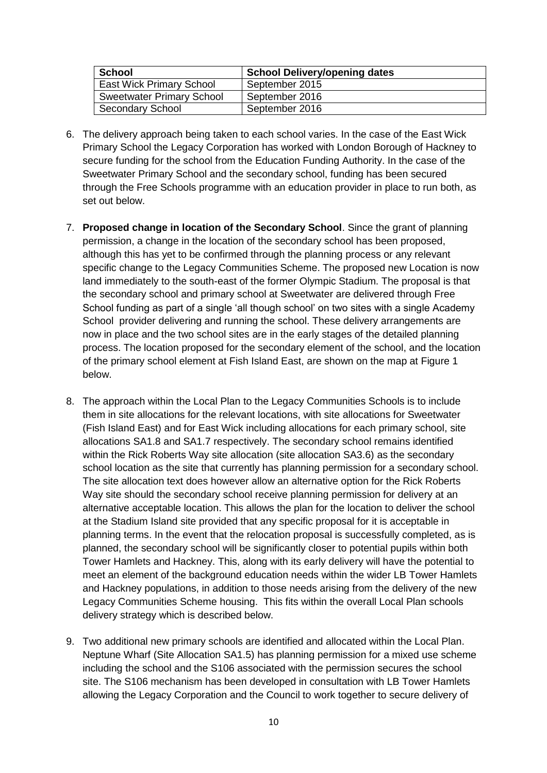| School                           | <b>School Delivery/opening dates</b> |
|----------------------------------|--------------------------------------|
| <b>East Wick Primary School</b>  | September 2015                       |
| <b>Sweetwater Primary School</b> | September 2016                       |
| <b>Secondary School</b>          | September 2016                       |

- 6. The delivery approach being taken to each school varies. In the case of the East Wick Primary School the Legacy Corporation has worked with London Borough of Hackney to secure funding for the school from the Education Funding Authority. In the case of the Sweetwater Primary School and the secondary school, funding has been secured through the Free Schools programme with an education provider in place to run both, as set out below.
- 7. **Proposed change in location of the Secondary School**. Since the grant of planning permission, a change in the location of the secondary school has been proposed, although this has yet to be confirmed through the planning process or any relevant specific change to the Legacy Communities Scheme. The proposed new Location is now land immediately to the south-east of the former Olympic Stadium. The proposal is that the secondary school and primary school at Sweetwater are delivered through Free School funding as part of a single 'all though school' on two sites with a single Academy School provider delivering and running the school. These delivery arrangements are now in place and the two school sites are in the early stages of the detailed planning process. The location proposed for the secondary element of the school, and the location of the primary school element at Fish Island East, are shown on the map at Figure 1 below.
- 8. The approach within the Local Plan to the Legacy Communities Schools is to include them in site allocations for the relevant locations, with site allocations for Sweetwater (Fish Island East) and for East Wick including allocations for each primary school, site allocations SA1.8 and SA1.7 respectively. The secondary school remains identified within the Rick Roberts Way site allocation (site allocation SA3.6) as the secondary school location as the site that currently has planning permission for a secondary school. The site allocation text does however allow an alternative option for the Rick Roberts Way site should the secondary school receive planning permission for delivery at an alternative acceptable location. This allows the plan for the location to deliver the school at the Stadium Island site provided that any specific proposal for it is acceptable in planning terms. In the event that the relocation proposal is successfully completed, as is planned, the secondary school will be significantly closer to potential pupils within both Tower Hamlets and Hackney. This, along with its early delivery will have the potential to meet an element of the background education needs within the wider LB Tower Hamlets and Hackney populations, in addition to those needs arising from the delivery of the new Legacy Communities Scheme housing. This fits within the overall Local Plan schools delivery strategy which is described below.
- 9. Two additional new primary schools are identified and allocated within the Local Plan. Neptune Wharf (Site Allocation SA1.5) has planning permission for a mixed use scheme including the school and the S106 associated with the permission secures the school site. The S106 mechanism has been developed in consultation with LB Tower Hamlets allowing the Legacy Corporation and the Council to work together to secure delivery of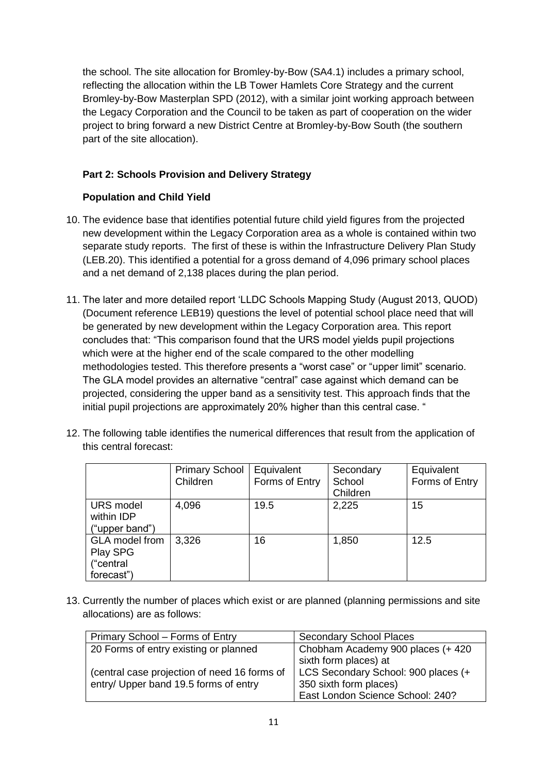the school. The site allocation for Bromley-by-Bow (SA4.1) includes a primary school, reflecting the allocation within the LB Tower Hamlets Core Strategy and the current Bromley-by-Bow Masterplan SPD (2012), with a similar joint working approach between the Legacy Corporation and the Council to be taken as part of cooperation on the wider project to bring forward a new District Centre at Bromley-by-Bow South (the southern part of the site allocation).

### **Part 2: Schools Provision and Delivery Strategy**

### **Population and Child Yield**

- 10. The evidence base that identifies potential future child yield figures from the projected new development within the Legacy Corporation area as a whole is contained within two separate study reports. The first of these is within the Infrastructure Delivery Plan Study (LEB.20). This identified a potential for a gross demand of 4,096 primary school places and a net demand of 2,138 places during the plan period.
- 11. The later and more detailed report 'LLDC Schools Mapping Study (August 2013, QUOD) (Document reference LEB19) questions the level of potential school place need that will be generated by new development within the Legacy Corporation area. This report concludes that: "This comparison found that the URS model yields pupil projections which were at the higher end of the scale compared to the other modelling methodologies tested. This therefore presents a "worst case" or "upper limit" scenario. The GLA model provides an alternative "central" case against which demand can be projected, considering the upper band as a sensitivity test. This approach finds that the initial pupil projections are approximately 20% higher than this central case. "
- 12. The following table identifies the numerical differences that result from the application of this central forecast:

|                                                              | <b>Primary School</b><br>Children | Equivalent<br>Forms of Entry | Secondary<br>School<br>Children | Equivalent<br>Forms of Entry |
|--------------------------------------------------------------|-----------------------------------|------------------------------|---------------------------------|------------------------------|
| <b>URS</b> model<br>within IDP<br>("upper band")             | 4,096                             | 19.5                         | 2,225                           | 15                           |
| <b>GLA</b> model from<br>Play SPG<br>("central<br>forecast") | 3,326                             | 16                           | 1,850                           | 12.5                         |

13. Currently the number of places which exist or are planned (planning permissions and site allocations) are as follows:

| Primary School – Forms of Entry              | <b>Secondary School Places</b>      |
|----------------------------------------------|-------------------------------------|
| 20 Forms of entry existing or planned        | Chobham Academy 900 places (+ 420   |
|                                              | sixth form places) at               |
| (central case projection of need 16 forms of | LCS Secondary School: 900 places (+ |
| entry/ Upper band 19.5 forms of entry        | 350 sixth form places)              |
|                                              | East London Science School: 240?    |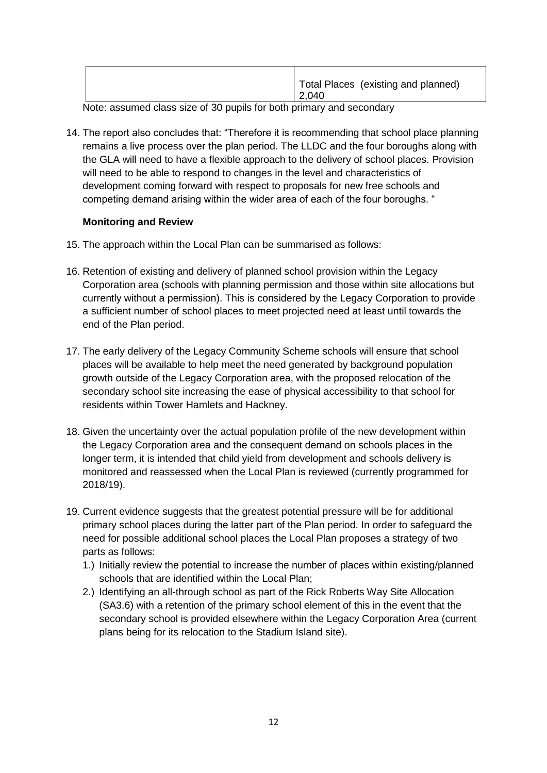Note: assumed class size of 30 pupils for both primary and secondary

14. The report also concludes that: "Therefore it is recommending that school place planning remains a live process over the plan period. The LLDC and the four boroughs along with the GLA will need to have a flexible approach to the delivery of school places. Provision will need to be able to respond to changes in the level and characteristics of development coming forward with respect to proposals for new free schools and competing demand arising within the wider area of each of the four boroughs. "

### **Monitoring and Review**

- 15. The approach within the Local Plan can be summarised as follows:
- 16. Retention of existing and delivery of planned school provision within the Legacy Corporation area (schools with planning permission and those within site allocations but currently without a permission). This is considered by the Legacy Corporation to provide a sufficient number of school places to meet projected need at least until towards the end of the Plan period.
- 17. The early delivery of the Legacy Community Scheme schools will ensure that school places will be available to help meet the need generated by background population growth outside of the Legacy Corporation area, with the proposed relocation of the secondary school site increasing the ease of physical accessibility to that school for residents within Tower Hamlets and Hackney.
- 18. Given the uncertainty over the actual population profile of the new development within the Legacy Corporation area and the consequent demand on schools places in the longer term, it is intended that child yield from development and schools delivery is monitored and reassessed when the Local Plan is reviewed (currently programmed for 2018/19).
- 19. Current evidence suggests that the greatest potential pressure will be for additional primary school places during the latter part of the Plan period. In order to safeguard the need for possible additional school places the Local Plan proposes a strategy of two parts as follows:
	- 1.) Initially review the potential to increase the number of places within existing/planned schools that are identified within the Local Plan;
	- 2.) Identifying an all-through school as part of the Rick Roberts Way Site Allocation (SA3.6) with a retention of the primary school element of this in the event that the secondary school is provided elsewhere within the Legacy Corporation Area (current plans being for its relocation to the Stadium Island site).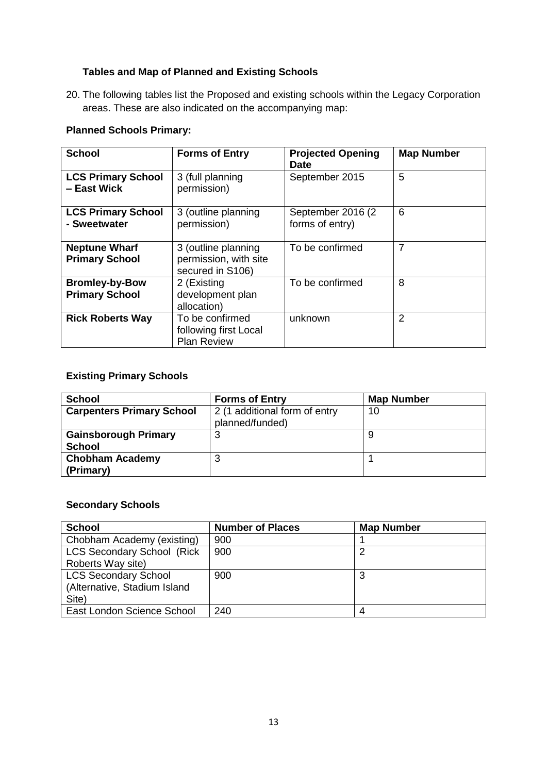## **Tables and Map of Planned and Existing Schools**

20. The following tables list the Proposed and existing schools within the Legacy Corporation areas. These are also indicated on the accompanying map:

### **Planned Schools Primary:**

| <b>School</b>                                  | <b>Forms of Entry</b>                                            | <b>Projected Opening</b><br><b>Date</b> | <b>Map Number</b> |
|------------------------------------------------|------------------------------------------------------------------|-----------------------------------------|-------------------|
| <b>LCS Primary School</b><br>- East Wick       | 3 (full planning<br>permission)                                  | September 2015                          | 5                 |
| <b>LCS Primary School</b><br>- Sweetwater      | 3 (outline planning<br>permission)                               | September 2016 (2)<br>forms of entry)   | 6                 |
| <b>Neptune Wharf</b><br><b>Primary School</b>  | 3 (outline planning<br>permission, with site<br>secured in S106) | To be confirmed                         | $\overline{7}$    |
| <b>Bromley-by-Bow</b><br><b>Primary School</b> | 2 (Existing<br>development plan<br>allocation)                   | To be confirmed                         | 8                 |
| <b>Rick Roberts Way</b>                        | To be confirmed<br>following first Local<br><b>Plan Review</b>   | unknown                                 | 2                 |

### **Existing Primary Schools**

| <b>School</b>                                | <b>Forms of Entry</b>                            | <b>Map Number</b> |
|----------------------------------------------|--------------------------------------------------|-------------------|
| <b>Carpenters Primary School</b>             | 2 (1 additional form of entry<br>planned/funded) | 10                |
| <b>Gainsborough Primary</b><br><b>School</b> | C                                                |                   |
| <b>Chobham Academy</b><br>(Primary)          |                                                  |                   |

### **Secondary Schools**

| <b>School</b>                      | <b>Number of Places</b> | <b>Map Number</b> |
|------------------------------------|-------------------------|-------------------|
| Chobham Academy (existing)         | 900                     |                   |
| <b>LCS Secondary School (Rick)</b> | 900                     |                   |
| Roberts Way site)                  |                         |                   |
| <b>LCS Secondary School</b>        | 900                     |                   |
| (Alternative, Stadium Island       |                         |                   |
| Site)                              |                         |                   |
| East London Science School         | 240                     |                   |